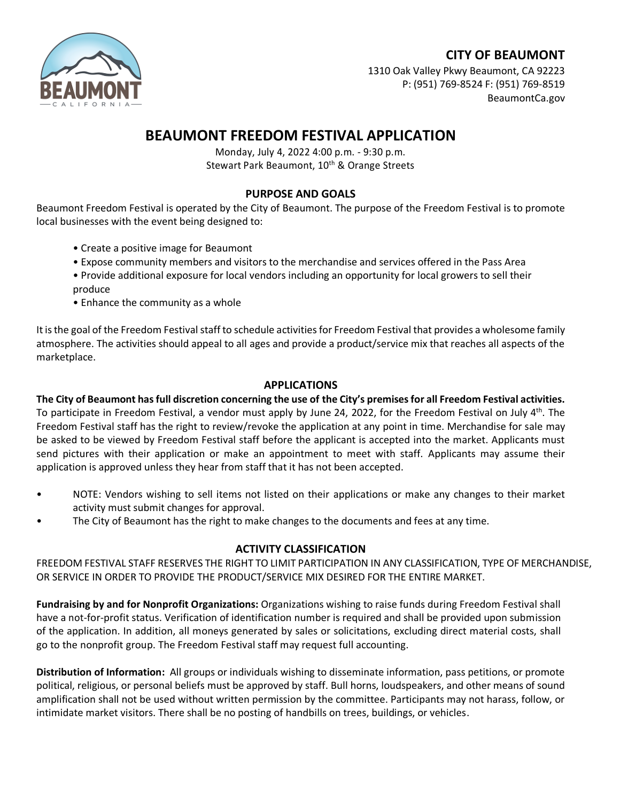## **CITY OF BEAUMONT**



1310 Oak Valley Pkwy Beaumont, CA 92223 P: (951) 769-8524 F: (951) 769-8519 BeaumontCa.gov

# **BEAUMONT FREEDOM FESTIVAL APPLICATION**

Monday, July 4, 2022 4:00 p.m. - 9:30 p.m. Stewart Park Beaumont, 10<sup>th</sup> & Orange Streets

## **PURPOSE AND GOALS**

Beaumont Freedom Festival is operated by the City of Beaumont. The purpose of the Freedom Festival is to promote local businesses with the event being designed to:

- Create a positive image for Beaumont
- Expose community members and visitors to the merchandise and services offered in the Pass Area
- Provide additional exposure for local vendors including an opportunity for local growers to sell their produce
- Enhance the community as a whole

It is the goal of the Freedom Festival staff to schedule activities for Freedom Festival that provides a wholesome family atmosphere. The activities should appeal to all ages and provide a product/service mix that reaches all aspects of the marketplace.

## **APPLICATIONS**

**The City of Beaumont has full discretion concerning the use of the City's premises for all Freedom Festival activities.** To participate in Freedom Festival, a vendor must apply by June 24, 2022, for the Freedom Festival on July  $4<sup>th</sup>$ . The Freedom Festival staff has the right to review/revoke the application at any point in time. Merchandise for sale may be asked to be viewed by Freedom Festival staff before the applicant is accepted into the market. Applicants must send pictures with their application or make an appointment to meet with staff. Applicants may assume their application is approved unless they hear from staff that it has not been accepted.

- NOTE: Vendors wishing to sell items not listed on their applications or make any changes to their market activity must submit changes for approval.
- The City of Beaumont has the right to make changes to the documents and fees at any time.

## **ACTIVITY CLASSIFICATION**

FREEDOM FESTIVAL STAFF RESERVES THE RIGHT TO LIMIT PARTICIPATION IN ANY CLASSIFICATION, TYPE OF MERCHANDISE, OR SERVICE IN ORDER TO PROVIDE THE PRODUCT/SERVICE MIX DESIRED FOR THE ENTIRE MARKET.

**Fundraising by and for Nonprofit Organizations:** Organizations wishing to raise funds during Freedom Festival shall have a not-for-profit status. Verification of identification number is required and shall be provided upon submission of the application. In addition, all moneys generated by sales or solicitations, excluding direct material costs, shall go to the nonprofit group. The Freedom Festival staff may request full accounting.

**Distribution of Information:** All groups or individuals wishing to disseminate information, pass petitions, or promote political, religious, or personal beliefs must be approved by staff. Bull horns, loudspeakers, and other means of sound amplification shall not be used without written permission by the committee. Participants may not harass, follow, or intimidate market visitors. There shall be no posting of handbills on trees, buildings, or vehicles.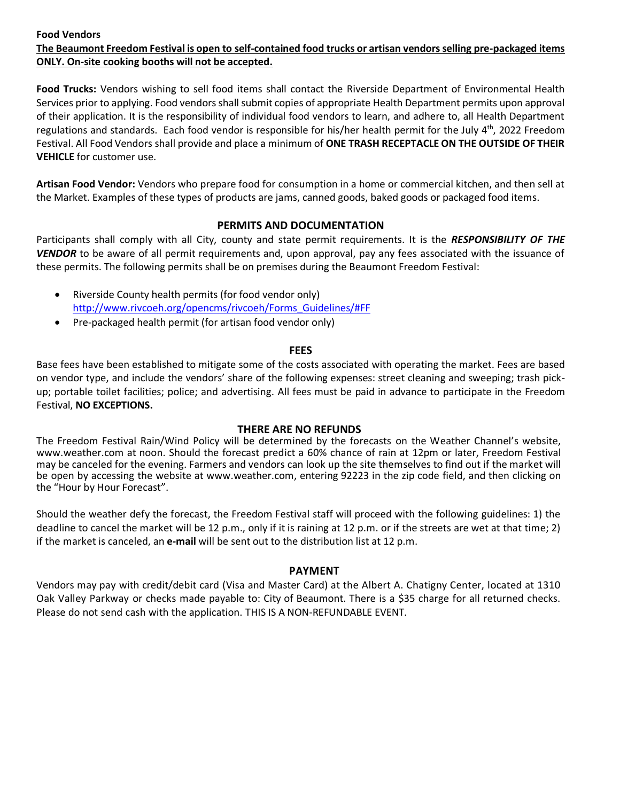#### **Food Vendors The Beaumont Freedom Festival is open to self-contained food trucks or artisan vendors selling pre-packaged items ONLY. On-site cooking booths will not be accepted.**

**Food Trucks:** Vendors wishing to sell food items shall contact the Riverside Department of Environmental Health Services prior to applying. Food vendors shall submit copies of appropriate Health Department permits upon approval of their application. It is the responsibility of individual food vendors to learn, and adhere to, all Health Department regulations and standards. Each food vendor is responsible for his/her health permit for the July  $4^{th}$ , 2022 Freedom Festival. All Food Vendors shall provide and place a minimum of **ONE TRASH RECEPTACLE ON THE OUTSIDE OF THEIR VEHICLE** for customer use.

**Artisan Food Vendor:** Vendors who prepare food for consumption in a home or commercial kitchen, and then sell at the Market. Examples of these types of products are jams, canned goods, baked goods or packaged food items.

### **PERMITS AND DOCUMENTATION**

Participants shall comply with all City, county and state permit requirements. It is the *RESPONSIBILITY OF THE VENDOR* to be aware of all permit requirements and, upon approval, pay any fees associated with the issuance of these permits. The following permits shall be on premises during the Beaumont Freedom Festival:

- Riverside County health permits (for food vendor only) [http://www.rivcoeh.org/opencms/rivcoeh/Forms\\_Guidelines/#FF](http://www.rivcoeh.org/opencms/rivcoeh/Forms_Guidelines/#FF)
- Pre-packaged health permit (for artisan food vendor only)

#### **FEES**

Base fees have been established to mitigate some of the costs associated with operating the market. Fees are based on vendor type, and include the vendors' share of the following expenses: street cleaning and sweeping; trash pickup; portable toilet facilities; police; and advertising. All fees must be paid in advance to participate in the Freedom Festival, **NO EXCEPTIONS.**

#### **THERE ARE NO REFUNDS**

The Freedom Festival Rain/Wind Policy will be determined by the forecasts on the Weather Channel's website, [www.weather.com](http://www.weather.com/) at noon. Should the forecast predict a 60% chance of rain at 12pm or later, Freedom Festival may be canceled for the evening. Farmers and vendors can look up the site themselves to find out if the market will be open by accessing the website at [www.weather.com](http://www.weather.com/), entering 92223 in the zip code field, and then clicking on the "Hour by Hour Forecast".

Should the weather defy the forecast, the Freedom Festival staff will proceed with the following guidelines: 1) the deadline to cancel the market will be 12 p.m., only if it is raining at 12 p.m. or if the streets are wet at that time; 2) if the market is canceled, an **e-mail** will be sent out to the distribution list at 12 p.m.

#### **PAYMENT**

Vendors may pay with credit/debit card (Visa and Master Card) at the Albert A. Chatigny Center, located at 1310 Oak Valley Parkway or checks made payable to: City of Beaumont. There is a \$35 charge for all returned checks. Please do not send cash with the application. THIS IS A NON-REFUNDABLE EVENT.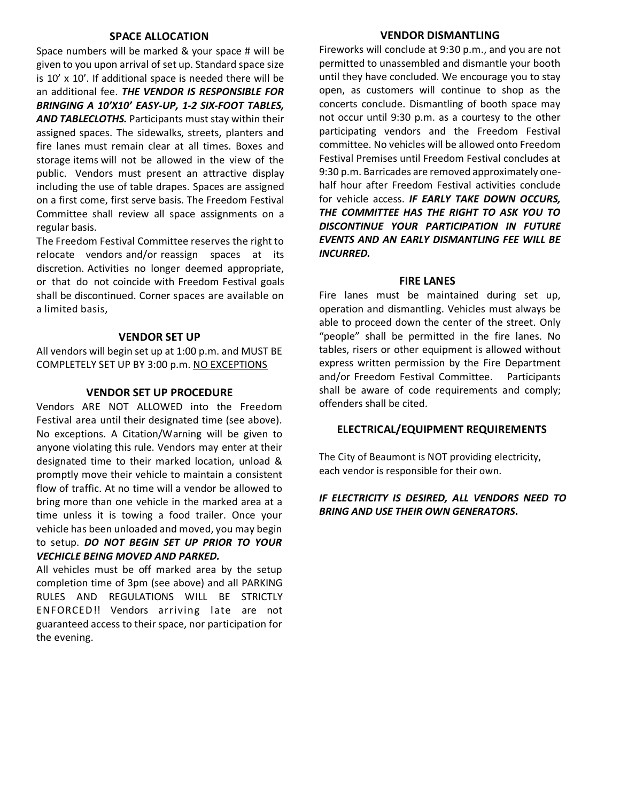#### **SPACE ALLOCATION**

Space numbers will be marked & your space # will be given to you upon arrival of set up. Standard space size is 10' x 10'. If additional space is needed there will be an additional fee. *THE VENDOR IS RESPONSIBLE FOR BRINGING A 10'X10' EASY-UP, 1-2 SIX-FOOT TABLES, AND TABLECLOTHS.* Participants must stay within their assigned spaces. The sidewalks, streets, planters and fire lanes must remain clear at all times. Boxes and storage items will not be allowed in the view of the public. Vendors must present an attractive display including the use of table drapes. Spaces are assigned on a first come, first serve basis. The Freedom Festival Committee shall review all space assignments on a regular basis.

The Freedom Festival Committee reserves the right to relocate vendors and/or reassign spaces at its discretion. Activities no longer deemed appropriate, or that do not coincide with Freedom Festival goals shall be discontinued. Corner spaces are available on a limited basis,

#### **VENDOR SET UP**

All vendors will begin set up at 1:00 p.m. and MUST BE COMPLETELY SET UP BY 3:00 p.m. NO EXCEPTIONS

#### **VENDOR SET UP PROCEDURE**

Vendors ARE NOT ALLOWED into the Freedom Festival area until their designated time (see above). No exceptions. A Citation/Warning will be given to anyone violating this rule. Vendors may enter at their designated time to their marked location, unload & promptly move their vehicle to maintain a consistent flow of traffic. At no time will a vendor be allowed to bring more than one vehicle in the marked area at a time unless it is towing a food trailer. Once your vehicle has been unloaded and moved, you may begin to setup. *DO NOT BEGIN SET UP PRIOR TO YOUR VECHICLE BEING MOVED AND PARKED.* 

All vehicles must be off marked area by the setup completion time of 3pm (see above) and all PARKING RULES AND REGULATIONS WILL BE STRICTLY ENFORCED!! Vendors arriving late are not guaranteed access to their space, nor participation for the evening.

#### **VENDOR DISMANTLING**

Fireworks will conclude at 9:30 p.m., and you are not permitted to unassembled and dismantle your booth until they have concluded. We encourage you to stay open, as customers will continue to shop as the concerts conclude. Dismantling of booth space may not occur until 9:30 p.m. as a courtesy to the other participating vendors and the Freedom Festival committee. No vehicles will be allowed onto Freedom Festival Premises until Freedom Festival concludes at 9:30 p.m. Barricades are removed approximately onehalf hour after Freedom Festival activities conclude for vehicle access. *IF EARLY TAKE DOWN OCCURS, THE COMMITTEE HAS THE RIGHT TO ASK YOU TO DISCONTINUE YOUR PARTICIPATION IN FUTURE EVENTS AND AN EARLY DISMANTLING FEE WILL BE INCURRED.*

#### **FIRE LANES**

Fire lanes must be maintained during set up, operation and dismantling. Vehicles must always be able to proceed down the center of the street. Only "people" shall be permitted in the fire lanes. No tables, risers or other equipment is allowed without express written permission by the Fire Department and/or Freedom Festival Committee. Participants shall be aware of code requirements and comply; offenders shall be cited.

#### **ELECTRICAL/EQUIPMENT REQUIREMENTS**

The City of Beaumont is NOT providing electricity, each vendor is responsible for their own.

#### *IF ELECTRICITY IS DESIRED, ALL VENDORS NEED TO BRING AND USE THEIR OWN GENERATORS***.**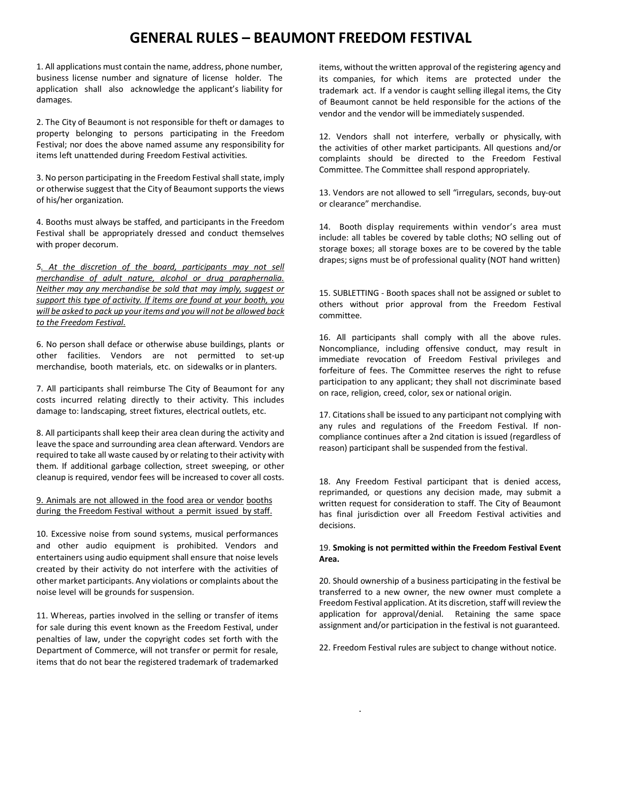# **GENERAL RULES – BEAUMONT FREEDOM FESTIVAL**

1. All applications must contain the name, address, phone number, business license number and signature of license holder. The application shall also acknowledge the applicant's liability for damages.

2. The City of Beaumont is not responsible for theft or damages to property belonging to persons participating in the Freedom Festival; nor does the above named assume any responsibility for items left unattended during Freedom Festival activities.

3. No person participating in the Freedom Festival shall state, imply or otherwise suggest that the City of Beaumont supports the views of his/her organization.

4. Booths must always be staffed, and participants in the Freedom Festival shall be appropriately dressed and conduct themselves with proper decorum.

*5. At the discretion of the board, participants may not sell merchandise of adult nature, alcohol or drug paraphernalia. Neither may any merchandise be sold that may imply, suggest or support this type of activity. If items are found at your booth, you will be asked to pack up youritems and you will not be allowed back to the Freedom Festival.*

6. No person shall deface or otherwise abuse buildings, plants or other facilities. Vendors are not permitted to set-up merchandise, booth materials, etc. on sidewalks or in planters.

7. All participants shall reimburse The City of Beaumont for any costs incurred relating directly to their activity. This includes damage to: landscaping, street fixtures, electrical outlets, etc.

8. All participants shall keep their area clean during the activity and leave the space and surrounding area clean afterward. Vendors are required to take all waste caused by or relating to their activity with them. If additional garbage collection, street sweeping, or other cleanup is required, vendor fees will be increased to cover all costs.

9. Animals are not allowed in the food area or vendor booths during the Freedom Festival without a permit issued by staff.

10. Excessive noise from sound systems, musical performances and other audio equipment is prohibited. Vendors and entertainers using audio equipment shall ensure that noise levels created by their activity do not interfere with the activities of other market participants. Any violations or complaints about the noise level will be grounds for suspension.

11. Whereas, parties involved in the selling or transfer of items for sale during this event known as the Freedom Festival, under penalties of law, under the copyright codes set forth with the Department of Commerce, will not transfer or permit for resale, items that do not bear the registered trademark of trademarked items, without the written approval of the registering agency and its companies, for which items are protected under the trademark act. If a vendor is caught selling illegal items, the City of Beaumont cannot be held responsible for the actions of the vendor and the vendor will be immediately suspended.

12. Vendors shall not interfere, verbally or physically, with the activities of other market participants. All questions and/or complaints should be directed to the Freedom Festival Committee. The Committee shall respond appropriately.

13. Vendors are not allowed to sell "irregulars, seconds, buy-out or clearance" merchandise.

14. Booth display requirements within vendor's area must include: all tables be covered by table cloths; NO selling out of storage boxes; all storage boxes are to be covered by the table drapes; signs must be of professional quality (NOT hand written)

15. SUBLETTING - Booth spaces shall not be assigned or sublet to others without prior approval from the Freedom Festival committee.

16. All participants shall comply with all the above rules. Noncompliance, including offensive conduct, may result in immediate revocation of Freedom Festival privileges and forfeiture of fees. The Committee reserves the right to refuse participation to any applicant; they shall not discriminate based on race, religion, creed, color, sex or national origin.

17. Citations shall be issued to any participant not complying with any rules and regulations of the Freedom Festival. If noncompliance continues after a 2nd citation is issued (regardless of reason) participant shall be suspended from the festival.

18. Any Freedom Festival participant that is denied access, reprimanded, or questions any decision made, may submit a written request for consideration to staff. The City of Beaumont has final jurisdiction over all Freedom Festival activities and decisions.

#### 19. **Smoking is not permitted within the Freedom Festival Event Area.**

20. Should ownership of a business participating in the festival be transferred to a new owner, the new owner must complete a Freedom Festival application. At its discretion, staff will review the application for approval/denial. Retaining the same space assignment and/or participation in the festival is not guaranteed.

22. Freedom Festival rules are subject to change without notice.

.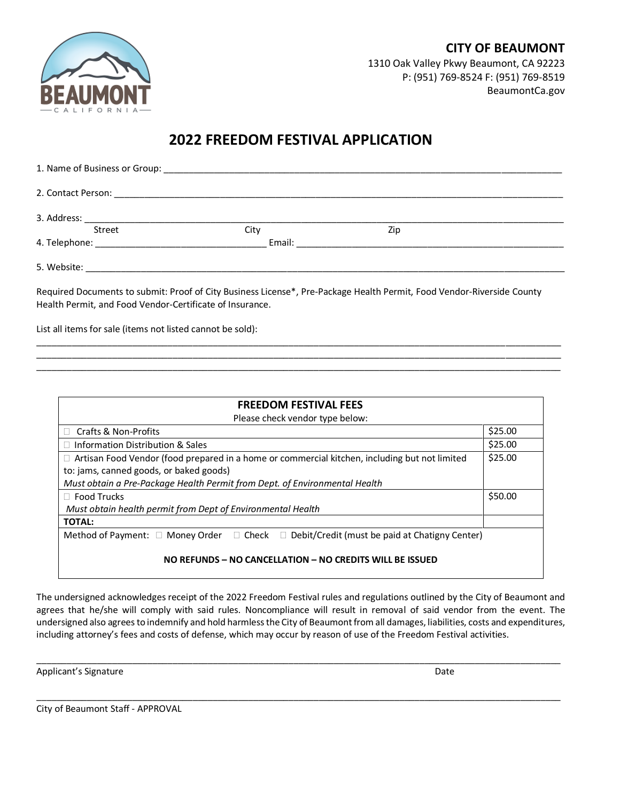**CITY OF BEAUMONT** 1310 Oak Valley Pkwy Beaumont, CA 92223 P: (951) 769-8524 F: (951) 769-8519 BeaumontCa.gov

# **2022 FREEDOM FESTIVAL APPLICATION**

| Street      | City   | Zip |  |
|-------------|--------|-----|--|
|             | Email: |     |  |
| 5. Website: |        |     |  |

Required Documents to submit: Proof of City Business License\*, Pre-Package Health Permit, Food Vendor-Riverside County Health Permit, and Food Vendor-Certificate of Insurance.

\_\_\_\_\_\_\_\_\_\_\_\_\_\_\_\_\_\_\_\_\_\_\_\_\_\_\_\_\_\_\_\_\_\_\_\_\_\_\_\_\_\_\_\_\_\_\_\_\_\_\_\_\_\_\_\_\_\_\_\_\_\_\_\_\_\_\_\_\_\_\_\_\_\_\_\_\_\_\_\_\_\_\_\_\_\_\_\_\_\_\_\_\_\_\_\_\_\_\_\_\_\_\_\_ \_\_\_\_\_\_\_\_\_\_\_\_\_\_\_\_\_\_\_\_\_\_\_\_\_\_\_\_\_\_\_\_\_\_\_\_\_\_\_\_\_\_\_\_\_\_\_\_\_\_\_\_\_\_\_\_\_\_\_\_\_\_\_\_\_\_\_\_\_\_\_\_\_\_\_\_\_\_\_\_\_\_\_\_\_\_\_\_\_\_\_\_\_\_\_\_\_\_\_\_\_\_\_\_ \_\_\_\_\_\_\_\_\_\_\_\_\_\_\_\_\_\_\_\_\_\_\_\_\_\_\_\_\_\_\_\_\_\_\_\_\_\_\_\_\_\_\_\_\_\_\_\_\_\_\_\_\_\_\_\_\_\_\_\_\_\_\_\_\_\_\_\_\_\_\_\_\_\_\_\_\_\_\_\_\_\_\_\_\_\_\_\_\_\_\_\_\_\_\_\_\_\_\_\_\_\_\_\_

List all items for sale (items not listed cannot be sold):

| <b>FREEDOM FESTIVAL FEES</b>                                                                             |         |  |  |
|----------------------------------------------------------------------------------------------------------|---------|--|--|
| Please check vendor type below:                                                                          |         |  |  |
| □ Crafts & Non-Profits                                                                                   | \$25.00 |  |  |
| $\Box$ Information Distribution & Sales                                                                  | \$25.00 |  |  |
| $\Box$ Artisan Food Vendor (food prepared in a home or commercial kitchen, including but not limited     |         |  |  |
| to: jams, canned goods, or baked goods)                                                                  |         |  |  |
| Must obtain a Pre-Package Health Permit from Dept. of Environmental Health                               |         |  |  |
| $\Box$ Food Trucks                                                                                       |         |  |  |
| Must obtain health permit from Dept of Environmental Health                                              |         |  |  |
| <b>TOTAL:</b>                                                                                            |         |  |  |
| Method of Payment: $\Box$ Money Order $\Box$ Check $\Box$ Debit/Credit (must be paid at Chatigny Center) |         |  |  |
|                                                                                                          |         |  |  |
| NO REFUNDS - NO CANCELLATION - NO CREDITS WILL BE ISSUED                                                 |         |  |  |

The undersigned acknowledges receipt of the 2022 Freedom Festival rules and regulations outlined by the City of Beaumont and agrees that he/she will comply with said rules. Noncompliance will result in removal of said vendor from the event. The undersigned also agrees to indemnify and hold harmless the City of Beaumont from all damages, liabilities, costs and expenditures, including attorney's fees and costs of defense, which may occur by reason of use of the Freedom Festival activities.

\_\_\_\_\_\_\_\_\_\_\_\_\_\_\_\_\_\_\_\_\_\_\_\_\_\_\_\_\_\_\_\_\_\_\_\_\_\_\_\_\_\_\_\_\_\_\_\_\_\_\_\_\_\_\_\_\_\_\_\_\_\_\_\_\_\_\_\_\_\_\_\_\_\_\_\_\_\_\_\_\_\_\_\_\_\_\_\_\_\_\_\_\_\_\_\_\_\_\_\_\_\_\_\_

\_\_\_\_\_\_\_\_\_\_\_\_\_\_\_\_\_\_\_\_\_\_\_\_\_\_\_\_\_\_\_\_\_\_\_\_\_\_\_\_\_\_\_\_\_\_\_\_\_\_\_\_\_\_\_\_\_\_\_\_\_\_\_\_\_\_\_\_\_\_\_\_\_\_\_\_\_\_\_\_\_\_\_\_\_\_\_\_\_\_\_\_\_\_\_\_\_\_\_\_\_\_\_\_

Applicant's Signature **Date** Date of Contract of Contract of Contract of Contract of Contract of Contract of Contract of Contract of Contract of Contract of Contract of Contract of Contract of Contract of Contract of Contr

City of Beaumont Staff - APPROVAL